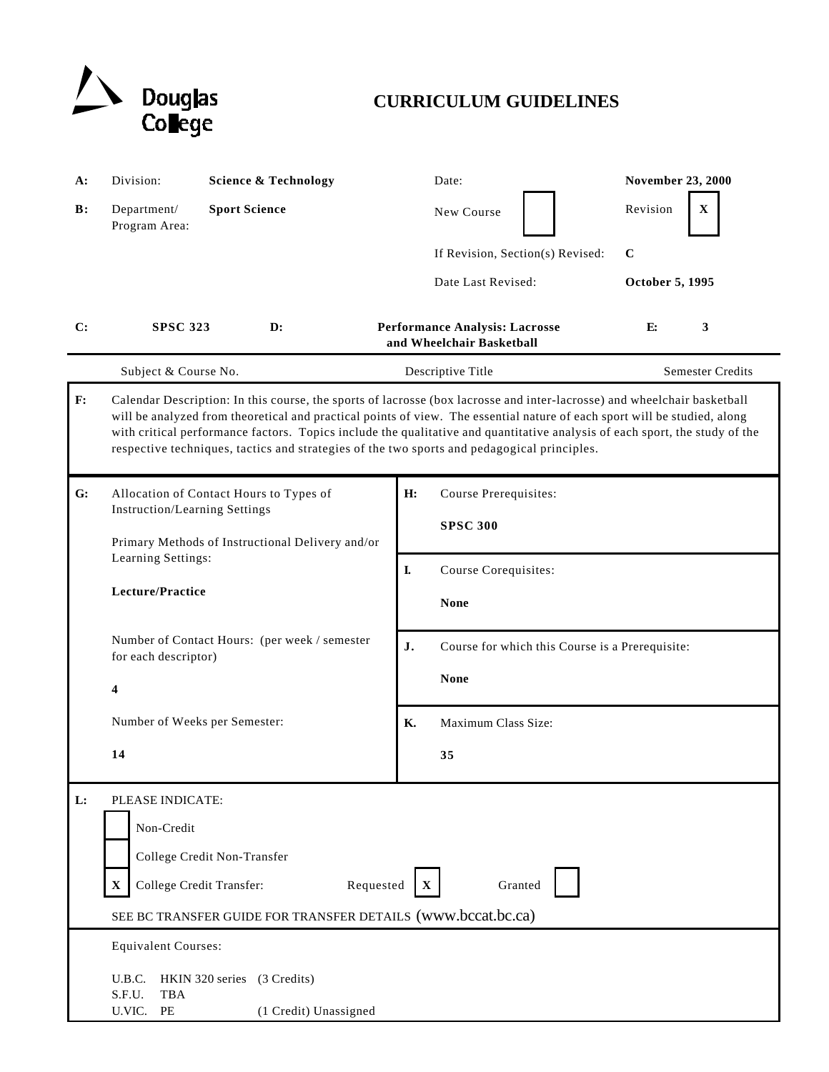

# **CURRICULUM GUIDELINES**

| A:             | Division:                                                                                                                                                                                                                                                                                                                                                                                                                                                                           | <b>Science &amp; Technology</b>                                                          |    | Date:                                                       | <b>November 23, 2000</b> |  |
|----------------|-------------------------------------------------------------------------------------------------------------------------------------------------------------------------------------------------------------------------------------------------------------------------------------------------------------------------------------------------------------------------------------------------------------------------------------------------------------------------------------|------------------------------------------------------------------------------------------|----|-------------------------------------------------------------|--------------------------|--|
| $\mathbf{B}$ : | Department/<br>Program Area:                                                                                                                                                                                                                                                                                                                                                                                                                                                        | <b>Sport Science</b>                                                                     |    | New Course                                                  | Revision<br>$\mathbf X$  |  |
|                |                                                                                                                                                                                                                                                                                                                                                                                                                                                                                     |                                                                                          |    | If Revision, Section(s) Revised:                            | $\mathbf C$              |  |
|                |                                                                                                                                                                                                                                                                                                                                                                                                                                                                                     |                                                                                          |    | Date Last Revised:                                          | October 5, 1995          |  |
| C:             | <b>SPSC 323</b>                                                                                                                                                                                                                                                                                                                                                                                                                                                                     | $\mathbf{D}$ :                                                                           |    | Performance Analysis: Lacrosse<br>and Wheelchair Basketball | 3<br>Е:                  |  |
|                | Subject & Course No.                                                                                                                                                                                                                                                                                                                                                                                                                                                                |                                                                                          |    | Descriptive Title                                           | <b>Semester Credits</b>  |  |
| F:             | Calendar Description: In this course, the sports of lacrosse (box lacrosse and inter-lacrosse) and wheelchair basketball<br>will be analyzed from theoretical and practical points of view. The essential nature of each sport will be studied, along<br>with critical performance factors. Topics include the qualitative and quantitative analysis of each sport, the study of the<br>respective techniques, tactics and strategies of the two sports and pedagogical principles. |                                                                                          |    |                                                             |                          |  |
| G:             |                                                                                                                                                                                                                                                                                                                                                                                                                                                                                     | Allocation of Contact Hours to Types of                                                  | H: | Course Prerequisites:                                       |                          |  |
|                |                                                                                                                                                                                                                                                                                                                                                                                                                                                                                     | <b>Instruction/Learning Settings</b><br>Primary Methods of Instructional Delivery and/or |    | <b>SPSC 300</b>                                             |                          |  |
|                | Learning Settings:                                                                                                                                                                                                                                                                                                                                                                                                                                                                  |                                                                                          |    |                                                             |                          |  |
|                | Lecture/Practice                                                                                                                                                                                                                                                                                                                                                                                                                                                                    |                                                                                          | L  | Course Corequisites:                                        |                          |  |
|                |                                                                                                                                                                                                                                                                                                                                                                                                                                                                                     |                                                                                          |    | <b>None</b>                                                 |                          |  |
|                | Number of Contact Hours: (per week / semester<br>for each descriptor)<br>4<br>Number of Weeks per Semester:                                                                                                                                                                                                                                                                                                                                                                         |                                                                                          | J. | Course for which this Course is a Prerequisite:             |                          |  |
|                |                                                                                                                                                                                                                                                                                                                                                                                                                                                                                     |                                                                                          |    | <b>None</b>                                                 |                          |  |
|                |                                                                                                                                                                                                                                                                                                                                                                                                                                                                                     |                                                                                          | K. | Maximum Class Size:                                         |                          |  |
|                | 14                                                                                                                                                                                                                                                                                                                                                                                                                                                                                  |                                                                                          |    | 35                                                          |                          |  |
| L:             | PLEASE INDICATE:                                                                                                                                                                                                                                                                                                                                                                                                                                                                    |                                                                                          |    |                                                             |                          |  |
|                | Non-Credit                                                                                                                                                                                                                                                                                                                                                                                                                                                                          |                                                                                          |    |                                                             |                          |  |
|                | College Credit Non-Transfer                                                                                                                                                                                                                                                                                                                                                                                                                                                         |                                                                                          |    |                                                             |                          |  |
|                | College Credit Transfer:<br>Requested<br>Granted<br>$\mathbf X$                                                                                                                                                                                                                                                                                                                                                                                                                     |                                                                                          |    |                                                             |                          |  |
|                | SEE BC TRANSFER GUIDE FOR TRANSFER DETAILS (www.bccat.bc.ca)                                                                                                                                                                                                                                                                                                                                                                                                                        |                                                                                          |    |                                                             |                          |  |
|                | <b>Equivalent Courses:</b>                                                                                                                                                                                                                                                                                                                                                                                                                                                          |                                                                                          |    |                                                             |                          |  |
|                | U.B.C.<br>HKIN 320 series (3 Credits)                                                                                                                                                                                                                                                                                                                                                                                                                                               |                                                                                          |    |                                                             |                          |  |
|                | S.F.U.<br><b>TBA</b><br>U.VIC.<br>PE<br>(1 Credit) Unassigned                                                                                                                                                                                                                                                                                                                                                                                                                       |                                                                                          |    |                                                             |                          |  |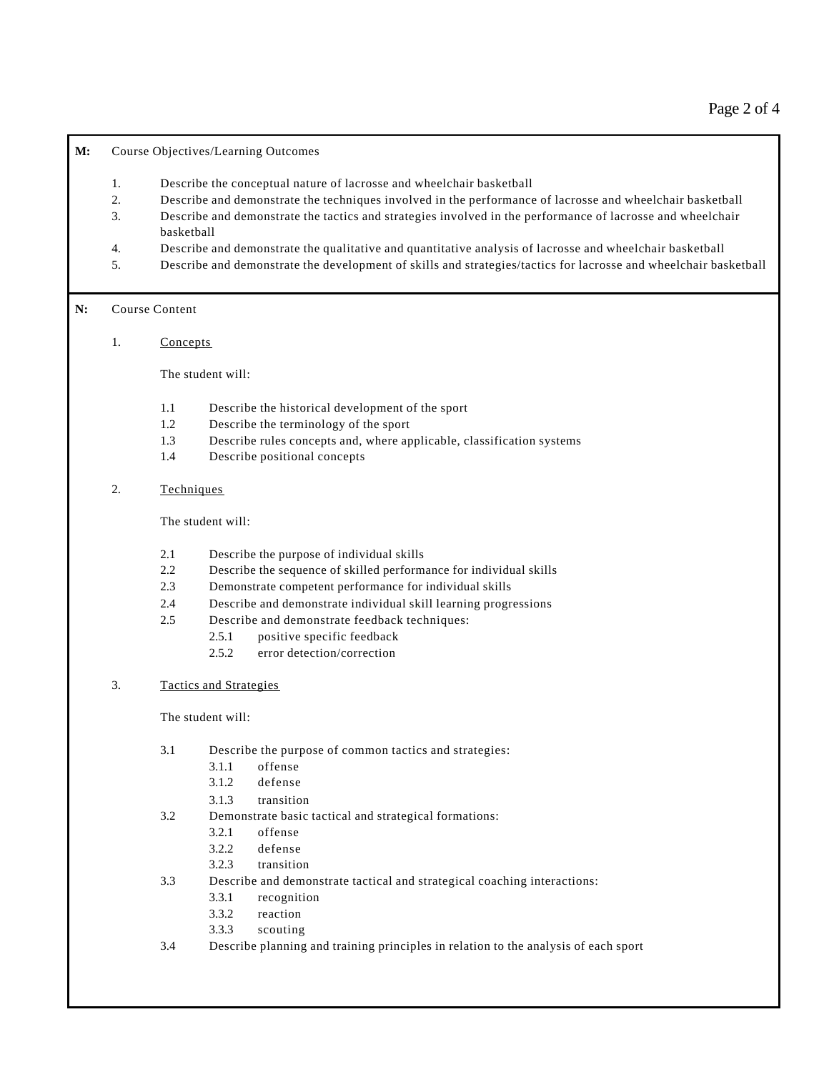**M:** Course Objectives/Learning Outcomes

- 1. Describe the conceptual nature of lacrosse and wheelchair basketball
- 2. Describe and demonstrate the techniques involved in the performance of lacrosse and wheelchair basketball
- 3. Describe and demonstrate the tactics and strategies involved in the performance of lacrosse and wheelchair basketball
- 4. Describe and demonstrate the qualitative and quantitative analysis of lacrosse and wheelchair basketball
- 5. Describe and demonstrate the development of skills and strategies/tactics for lacrosse and wheelchair basketball

## **N:** Course Content

1. Concepts

The student will:

- 1.1 Describe the historical development of the sport
- 1.2 Describe the terminology of the sport
- 1.3 Describe rules concepts and, where applicable, classification systems
- 1.4 Describe positional concepts

## 2. Techniques

The student will:

- 2.1 Describe the purpose of individual skills
- 2.2 Describe the sequence of skilled performance for individual skills
- 2.3 Demonstrate competent performance for individual skills
- 2.4 Describe and demonstrate individual skill learning progressions
- 2.5 Describe and demonstrate feedback techniques:
	- 2.5.1 positive specific feedback
	- 2.5.2 error detection/correction
- 3. Tactics and Strategies

The student will:

- 3.1 Describe the purpose of common tactics and strategies:
	- 3.1.1 offense
	- 3.1.2 defense
	- 3.1.3 transition
- 3.2 Demonstrate basic tactical and strategical formations:
	- 3.2.1 offense
	- 3.2.2 defense
	- 3.2.3 transition
- 3.3 Describe and demonstrate tactical and strategical coaching interactions:
	- 3.3.1 recognition
	- 3.3.2 reaction
	- 3.3.3 scouting
- 3.4 Describe planning and training principles in relation to the analysis of each sport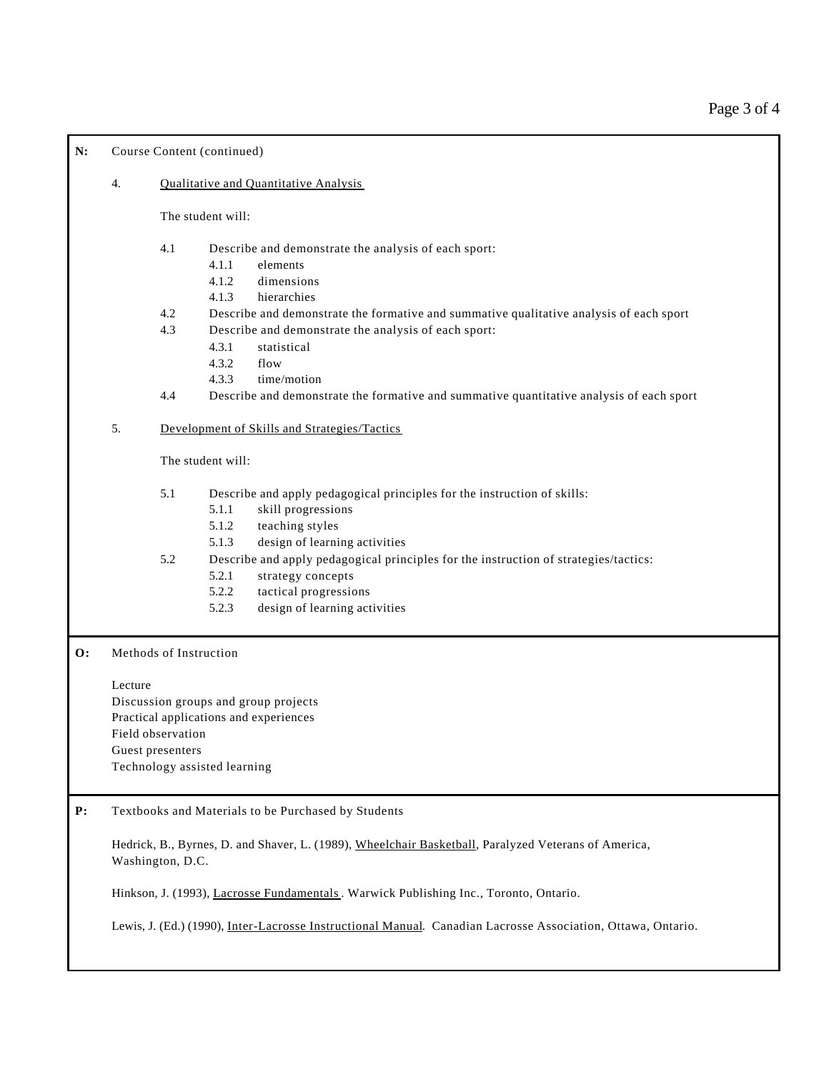N: Course Content (continued)

#### 4. Qualitative and Quantitative Analysis

The student will:

- 4.1 Describe and demonstrate the analysis of each sport:
	- 4.1.1 elements
	- 4.1.2 dimensions
	- 4.1.3 hierarchies
- 4.2 Describe and demonstrate the formative and summative qualitative analysis of each sport
- 4.3 Describe and demonstrate the analysis of each sport:
	- 4.3.1 statistical
	- 4.3.2 flow
	- 4.3.3 time/motion
- 4.4 Describe and demonstrate the formative and summative quantitative analysis of each sport

#### 5. Development of Skills and Strategies/Tactics

The student will:

- 5.1 Describe and apply pedagogical principles for the instruction of skills:
	- 5.1.1 skill progressions
	- 5.1.2 teaching styles
	- 5.1.3 design of learning activities
- 5.2 Describe and apply pedagogical principles for the instruction of strategies/tactics:
	- 5.2.1 strategy concepts
	- 5.2.2 tactical progressions
	- 5.2.3 design of learning activities

**O:** Methods of Instruction

Lecture

Discussion groups and group projects Practical applications and experiences Field observation Guest presenters Technology assisted learning

**P:** Textbooks and Materials to be Purchased by Students

Hedrick, B., Byrnes, D. and Shaver, L. (1989), Wheelchair Basketball, Paralyzed Veterans of America, Washington, D.C.

Hinkson, J. (1993), Lacrosse Fundamentals . Warwick Publishing Inc., Toronto, Ontario.

Lewis, J. (Ed.) (1990), Inter-Lacrosse Instructional Manual. Canadian Lacrosse Association, Ottawa, Ontario.